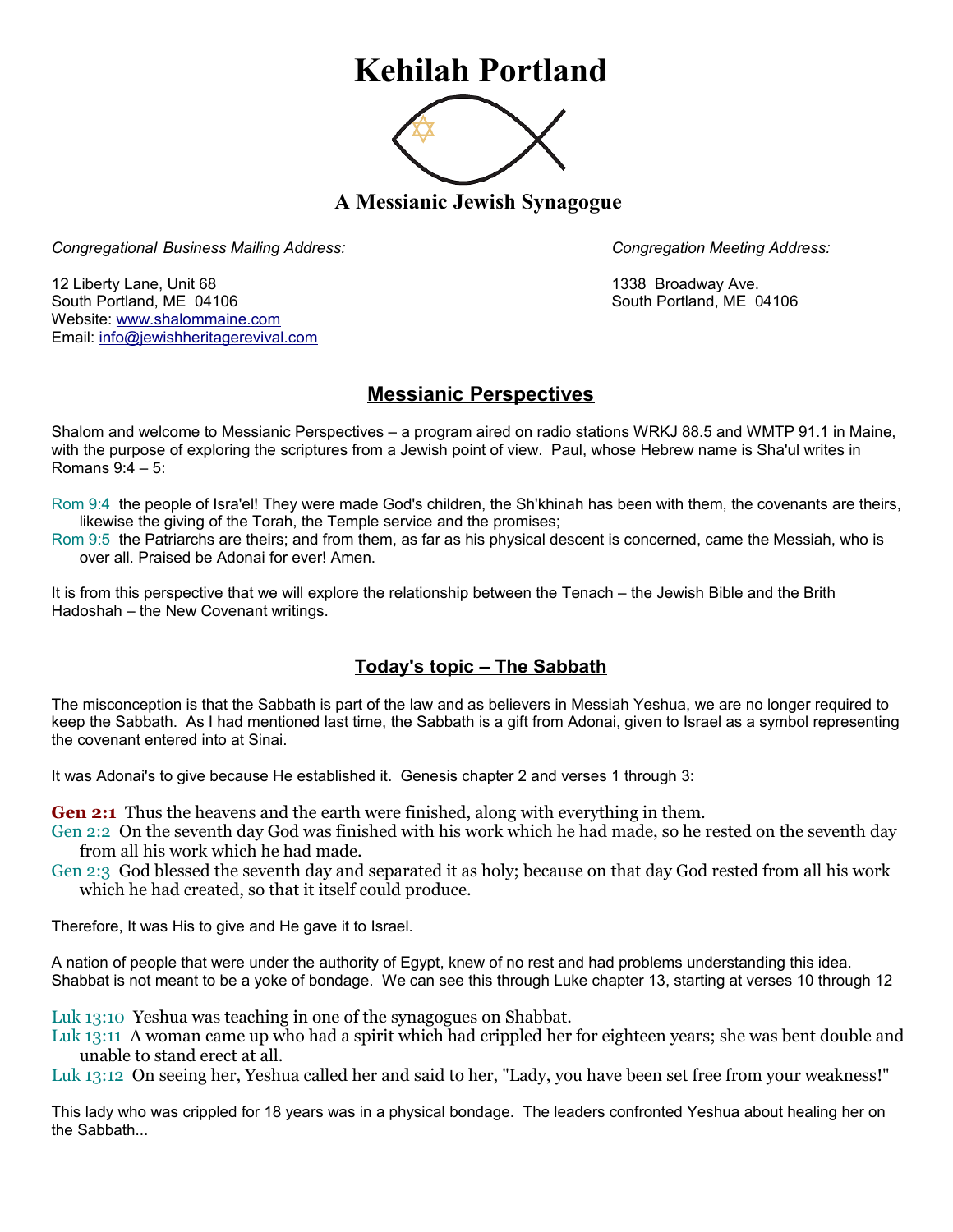## **Kehilah Portland**



**A Messianic Jewish Synagogue** 

*Congregational Business Mailing Address: Congregation Meeting Address:*

12 Liberty Lane, Unit 68 1338 Broadway Ave. South Portland, ME 04106 South Portland, ME 04106 Website: [www.shalommaine.com](http://www.shalommaine.com/) Email: [info@jewishheritagerevival.com](mailto:info@jewishheritagerevival.com) 

## **Messianic Perspectives**

Shalom and welcome to Messianic Perspectives – a program aired on radio stations WRKJ 88.5 and WMTP 91.1 in Maine, with the purpose of exploring the scriptures from a Jewish point of view. Paul, whose Hebrew name is Sha'ul writes in Romans 9:4 – 5:

Rom 9:4 the people of Isra'el! They were made God's children, the Sh'khinah has been with them, the covenants are theirs, likewise the giving of the Torah, the Temple service and the promises;

Rom 9:5 the Patriarchs are theirs; and from them, as far as his physical descent is concerned, came the Messiah, who is over all. Praised be Adonai for ever! Amen.

It is from this perspective that we will explore the relationship between the Tenach – the Jewish Bible and the Brith Hadoshah – the New Covenant writings.

## **Today's topic – The Sabbath**

The misconception is that the Sabbath is part of the law and as believers in Messiah Yeshua, we are no longer required to keep the Sabbath. As I had mentioned last time, the Sabbath is a gift from Adonai, given to Israel as a symbol representing the covenant entered into at Sinai.

It was Adonai's to give because He established it. Genesis chapter 2 and verses 1 through 3:

**Gen 2:1** Thus the heavens and the earth were finished, along with everything in them.

Gen 2:2 On the seventh day God was finished with his work which he had made, so he rested on the seventh day from all his work which he had made.

Gen 2:3 God blessed the seventh day and separated it as holy; because on that day God rested from all his work which he had created, so that it itself could produce.

Therefore, It was His to give and He gave it to Israel.

A nation of people that were under the authority of Egypt, knew of no rest and had problems understanding this idea. Shabbat is not meant to be a yoke of bondage. We can see this through Luke chapter 13, starting at verses 10 through 12

Luk 13:10 Yeshua was teaching in one of the synagogues on Shabbat.

Luk 13:11 A woman came up who had a spirit which had crippled her for eighteen years; she was bent double and unable to stand erect at all.

Luk 13:12 On seeing her, Yeshua called her and said to her, "Lady, you have been set free from your weakness!"

This lady who was crippled for 18 years was in a physical bondage. The leaders confronted Yeshua about healing her on the Sabbath...